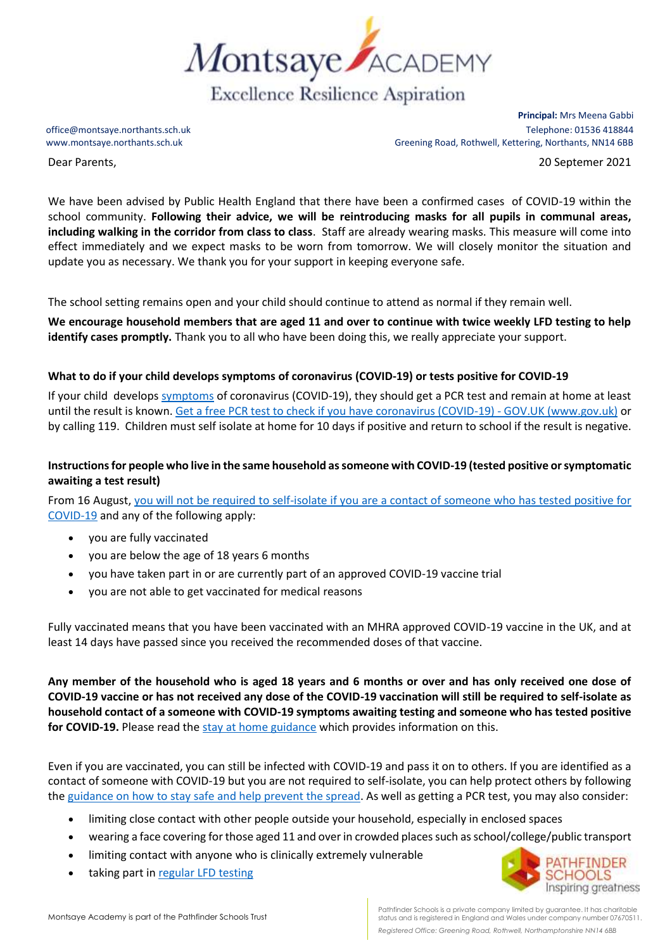

Dear Parents, 20 Septemer 2021

**Principal:** Mrs Meena Gabbi office@montsaye.northants.sch.uk Telephone: 01536 418844 www.montsaye.northants.sch.uk Greening Road, Rothwell, Kettering, Northants, NN14 6BB

We have been advised by Public Health England that there have been a confirmed cases of COVID-19 within the school community. **Following their advice, we will be reintroducing masks for all pupils in communal areas, including walking in the corridor from class to class**. Staff are already wearing masks. This measure will come into effect immediately and we expect masks to be worn from tomorrow. We will closely monitor the situation and update you as necessary. We thank you for your support in keeping everyone safe.

The school setting remains open and your child should continue to attend as normal if they remain well.

**We encourage household members that are aged 11 and over to continue with twice weekly LFD testing to help identify cases promptly.** Thank you to all who have been doing this, we really appreciate your support.

## **What to do if your child develops symptoms of coronavirus (COVID-19) or tests positive for COVID-19**

If your child develops [symptoms](https://www.gov.uk/government/publications/covid-19-stay-at-home-guidance/stay-at-home-guidance-for-households-with-possible-coronavirus-covid-19-infection#symptoms) of coronavirus (COVID-19), they should get a PCR test and remain at home at least until the result is known. Get a free PCR test to check if you have coronavirus (COVID-19) - GOV.UK (www.gov.uk) or by calling 119. Children must self isolate at home for 10 days if positive and return to school if the result is negative.

## **Instructions for people who live in the same household as someone with COVID-19 (tested positive or symptomatic awaiting a test result)**

From 16 August, [you will not be required to self-isolate if you are a contact of someone who has tested positive for](https://www.gov.uk/government/publications/covid-19-stay-at-home-guidance/stay-at-home-guidance-for-households-with-possible-coronavirus-covid-19-infection#exempt)  [COVID-19](https://www.gov.uk/government/publications/covid-19-stay-at-home-guidance/stay-at-home-guidance-for-households-with-possible-coronavirus-covid-19-infection#exempt) and any of the following apply:

- you are fully vaccinated
- you are below the age of 18 years 6 months
- you have taken part in or are currently part of an approved COVID-19 vaccine trial
- you are not able to get vaccinated for medical reasons

Fully vaccinated means that you have been vaccinated with an MHRA approved COVID-19 vaccine in the UK, and at least 14 days have passed since you received the recommended doses of that vaccine.

**Any member of the household who is aged 18 years and 6 months or over and has only received one dose of COVID-19 vaccine or has not received any dose of the COVID-19 vaccination will still be required to self-isolate as household contact of a someone with COVID-19 symptoms awaiting testing and someone who has tested positive for COVID-19.** Please read the [stay at home guidance](https://www.gov.uk/government/publications/covid-19-stay-at-home-guidance) which provides information on this.

Even if you are vaccinated, you can still be infected with COVID-19 and pass it on to others. If you are identified as a contact of someone with COVID-19 but you are not required to self-isolate, you can help protect others by following the [guidance on how to stay safe and help prevent the spread.](https://www.gov.uk/guidance/covid-19-coronavirus-restrictions-what-you-can-and-cannot-do#keeping-yourself-and-others-safe) As well as getting a PCR test, you may also consider:

- limiting close contact with other people outside your household, especially in enclosed spaces
- wearing a face covering for those aged 11 and over in crowded places such as school/college/public transport
- limiting contact with anyone who is clinically extremely vulnerable
- taking part in [regular](https://www.gov.uk/order-coronavirus-rapid-lateral-flow-tests) LFD testing



Pathfinder Schools is a private company limited by guarantee. It has charitable status and is registered in England and Wales under company number 07670511. *Registered Office: Greening Road, Rothwell, Northamptonshire NN14 6BB*